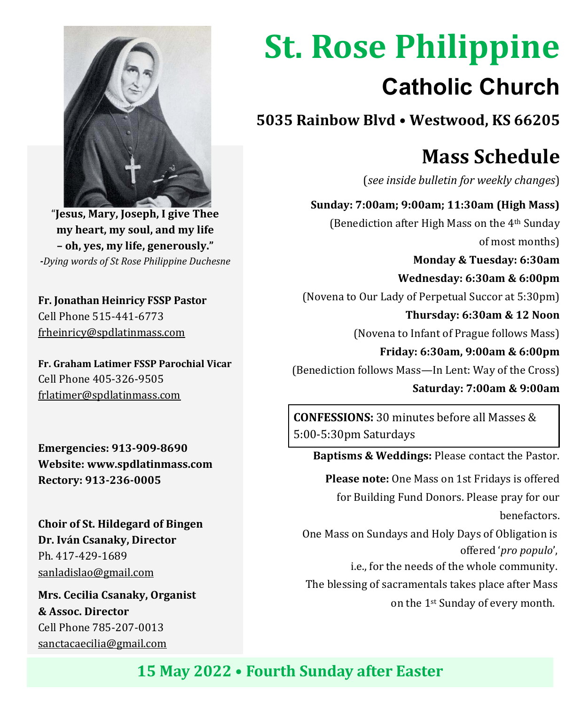

"**Jesus, Mary, Joseph, I give Thee my heart, my soul, and my life – oh, yes, my life, generously."**  *-Dying words of St Rose Philippine Duchesne*

**Fr. Jonathan Heinricy FSSP Pastor** Cell Phone 515-441-6773 frheinricy@spdlatinmass.com

**Fr. Graham Latimer FSSP Parochial Vicar** Cell Phone 405-326-9505 frlatimer@spdlatinmass.com

**Emergencies: 913-909-8690 Website[: www.spdlatinmass.com](http://www.spdlatinmass.com/) Rectory: 913-236-0005**

**Choir of St. Hildegard of Bingen Dr. Iván Csanaky, Director** Ph. 417-429-1689 [sanladislao@gmail.com](mailto:sanladislao@gmail.com)

**Mrs. Cecilia Csanaky, Organist & Assoc. Director**  Cell Phone 785-207-0013 sanctacaecilia@gmail.com

# **St. Rose Philippine Catholic Church**

**5035 Rainbow Blvd** • **Westwood, KS 66205**

## **Mass Schedule**

(*see inside bulletin for weekly changes*)

 **Sunday: 7:00am; 9:00am; 11:30am (High Mass)** (Benediction after High Mass on the 4th Sunday of most months)

 **Monday & Tuesday: 6:30am Wednesday: 6:30am & 6:00pm** (Novena to Our Lady of Perpetual Succor at 5:30pm)  **Thursday: 6:30am & 12 Noon**

(Novena to Infant of Prague follows Mass)

 **Friday: 6:30am, 9:00am & 6:00pm** (Benediction follows Mass—In Lent: Way of the Cross)

 **Saturday: 7:00am & 9:00am**

**CONFESSIONS:** 30 minutes before all Masses & 5:00-5:30pm Saturdays

 **Baptisms & Weddings:** Please contact the Pastor.

 **Please note:** One Mass on 1st Fridays is offered for Building Fund Donors. Please pray for our benefactors.

 One Mass on Sundays and Holy Days of Obligation is offered '*pro populo*',

i.e., for the needs of the whole community.

The blessing of sacramentals takes place after Mass

on the 1st Sunday of every month.

**15 May 2022** • **Fourth Sunday after Easter**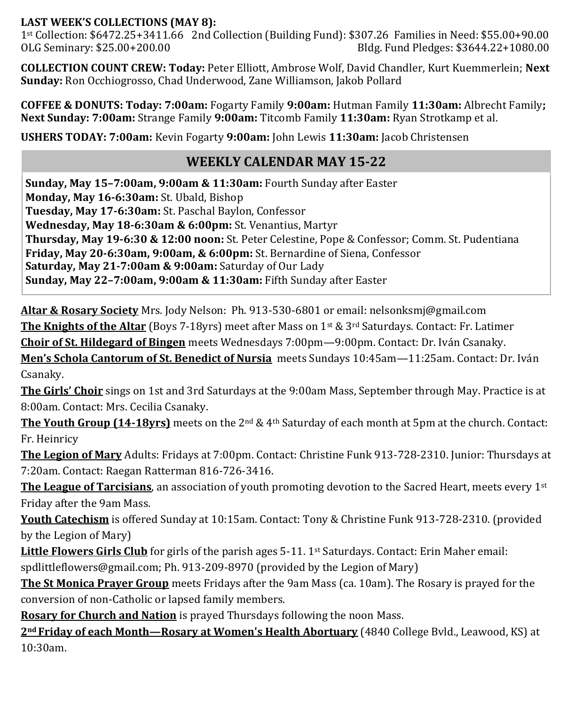#### **LAST WEEK'S COLLECTIONS (MAY 8):**

1st Collection: \$6472.25+3411.66 2nd Collection (Building Fund): \$307.26 Families in Need: \$55.00+90.00 OLG Seminary: \$25.00+200.00 Bldg. Fund Pledges: \$3644.22+1080.00

**COLLECTION COUNT CREW: Today:** Peter Elliott, Ambrose Wolf, David Chandler, Kurt Kuemmerlein; **Next Sunday:** Ron Occhiogrosso, Chad Underwood, Zane Williamson, Jakob Pollard

**COFFEE & DONUTS: Today: 7:00am:** Fogarty Family **9:00am:** Hutman Family **11:30am:** Albrecht Family**; Next Sunday: 7:00am:** Strange Family **9:00am:** Titcomb Family **11:30am:** Ryan Strotkamp et al.

**USHERS TODAY: 7:00am:** Kevin Fogarty **9:00am:** John Lewis **11:30am:** Jacob Christensen

### **WEEKLY CALENDAR MAY 15-22**

**Sunday, May 15–7:00am, 9:00am & 11:30am:** Fourth Sunday after Easter **Monday, May 16-6:30am:** St. Ubald, Bishop **Tuesday, May 17-6:30am:** St. Paschal Baylon, Confessor **Wednesday, May 18-6:30am & 6:00pm:** St. Venantius, Martyr **Thursday, May 19-6:30 & 12:00 noon:** St. Peter Celestine, Pope & Confessor; Comm. St. Pudentiana **Friday, May 20-6:30am, 9:00am, & 6:00pm:** St. Bernardine of Siena, Confessor **Saturday, May 21-7:00am & 9:00am:** Saturday of Our Lady **Sunday, May 22–7:00am, 9:00am & 11:30am:** Fifth Sunday after Easter

**Altar & Rosary Society** Mrs. Jody Nelson: Ph. 913-530-6801 or email: nelsonksmj@gmail.com

**The Knights of the Altar** (Boys 7-18yrs) meet after Mass on 1st & 3rd Saturdays. Contact: Fr. Latimer

**Choir of St. Hildegard of Bingen** meets Wednesdays 7:00pm—9:00pm. Contact: Dr. Iván Csanaky.

**Men's Schola Cantorum of St. Benedict of Nursia** meets Sundays 10:45am—11:25am. Contact: Dr. Iván Csanaky.

**The Girls' Choir** sings on 1st and 3rd Saturdays at the 9:00am Mass, September through May. Practice is at 8:00am. Contact: Mrs. Cecilia Csanaky.

**The Youth Group (14-18yrs)** meets on the 2nd & 4th Saturday of each month at 5pm at the church. Contact: Fr. Heinricy

**The Legion of Mary** Adults: Fridays at 7:00pm. Contact: Christine Funk 913-728-2310. Junior: Thursdays at 7:20am. Contact: Raegan Ratterman 816-726-3416.

**The League of Tarcisians**, an association of youth promoting devotion to the Sacred Heart, meets every 1st Friday after the 9am Mass.

**Youth Catechism** is offered Sunday at 10:15am. Contact: Tony & Christine Funk 913-728-2310. (provided by the Legion of Mary)

**Little Flowers Girls Club** for girls of the parish ages 5-11. 1st Saturdays. Contact: Erin Maher email: spdlittleflowers@gmail.com; Ph. 913-209-8970 (provided by the Legion of Mary)

**The St Monica Prayer Group** meets Fridays after the 9am Mass (ca. 10am). The Rosary is prayed for the conversion of non-Catholic or lapsed family members.

**Rosary for Church and Nation** is prayed Thursdays following the noon Mass.

**2nd Friday of each Month—Rosary at Women's Health Abortuary** (4840 College Bvld., Leawood, KS) at 10:30am.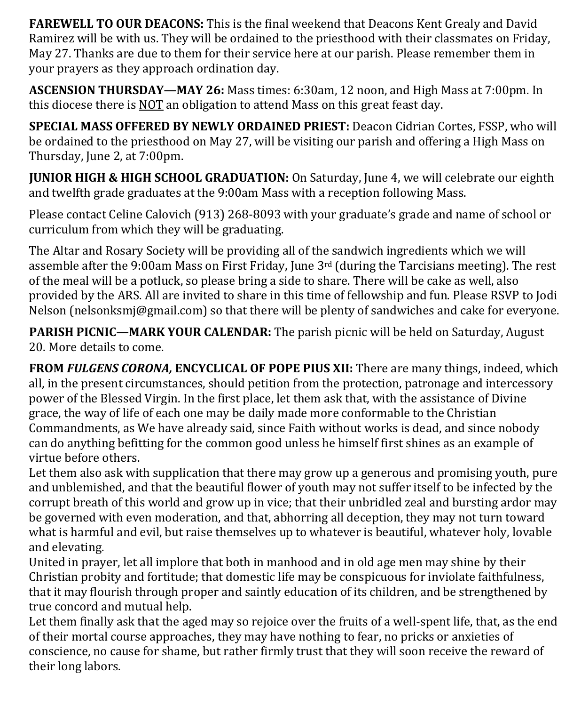**FAREWELL TO OUR DEACONS:** This is the final weekend that Deacons Kent Grealy and David Ramirez will be with us. They will be ordained to the priesthood with their classmates on Friday, May 27. Thanks are due to them for their service here at our parish. Please remember them in your prayers as they approach ordination day.

**ASCENSION THURSDAY—MAY 26:** Mass times: 6:30am, 12 noon, and High Mass at 7:00pm. In this diocese there is NOT an obligation to attend Mass on this great feast day.

**SPECIAL MASS OFFERED BY NEWLY ORDAINED PRIEST:** Deacon Cidrian Cortes, FSSP, who will be ordained to the priesthood on May 27, will be visiting our parish and offering a High Mass on Thursday, June 2, at 7:00pm.

**JUNIOR HIGH & HIGH SCHOOL GRADUATION:** On Saturday, June 4, we will celebrate our eighth and twelfth grade graduates at the 9:00am Mass with a reception following Mass.

Please contact Celine Calovich (913) 268-8093 with your graduate's grade and name of school or curriculum from which they will be graduating.

The Altar and Rosary Society will be providing all of the sandwich ingredients which we will assemble after the 9:00am Mass on First Friday, June 3rd (during the Tarcisians meeting). The rest of the meal will be a potluck, so please bring a side to share. There will be cake as well, also provided by the ARS. All are invited to share in this time of fellowship and fun. Please RSVP to Jodi Nelson (nelsonksmj@gmail.com) so that there will be plenty of sandwiches and cake for everyone.

**PARISH PICNIC—MARK YOUR CALENDAR:** The parish picnic will be held on Saturday, August 20. More details to come.

**FROM** *FULGENS CORONA,* **ENCYCLICAL OF POPE PIUS XII:** There are many things, indeed, which all, in the present circumstances, should petition from the protection, patronage and intercessory power of the Blessed Virgin. In the first place, let them ask that, with the assistance of Divine grace, the way of life of each one may be daily made more conformable to the Christian Commandments, as We have already said, since Faith without works is dead, and since nobody can do anything befitting for the common good unless he himself first shines as an example of virtue before others.

Let them also ask with supplication that there may grow up a generous and promising youth, pure and unblemished, and that the beautiful flower of youth may not suffer itself to be infected by the corrupt breath of this world and grow up in vice; that their unbridled zeal and bursting ardor may be governed with even moderation, and that, abhorring all deception, they may not turn toward what is harmful and evil, but raise themselves up to whatever is beautiful, whatever holy, lovable and elevating.

United in prayer, let all implore that both in manhood and in old age men may shine by their Christian probity and fortitude; that domestic life may be conspicuous for inviolate faithfulness, that it may flourish through proper and saintly education of its children, and be strengthened by true concord and mutual help.

Let them finally ask that the aged may so rejoice over the fruits of a well-spent life, that, as the end of their mortal course approaches, they may have nothing to fear, no pricks or anxieties of conscience, no cause for shame, but rather firmly trust that they will soon receive the reward of their long labors.